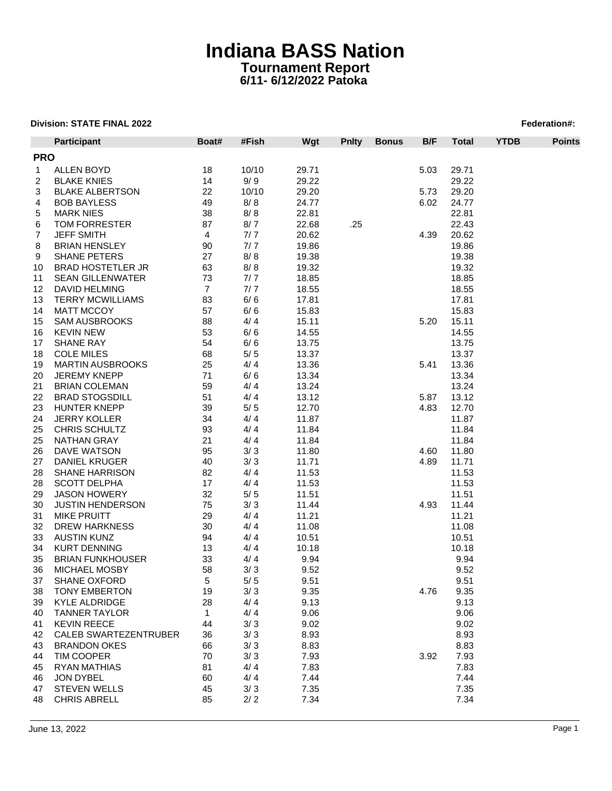|              | <b>Participant</b>           | Boat#          | #Fish | Wgt   | <b>Pnity</b> | <b>Bonus</b> | B/F  | <b>Total</b> | <b>YTDB</b> | <b>Points</b> |
|--------------|------------------------------|----------------|-------|-------|--------------|--------------|------|--------------|-------------|---------------|
| <b>PRO</b>   |                              |                |       |       |              |              |      |              |             |               |
| $\mathbf{1}$ | <b>ALLEN BOYD</b>            | 18             | 10/10 | 29.71 |              |              | 5.03 | 29.71        |             |               |
| 2            | <b>BLAKE KNIES</b>           | 14             | 9/9   | 29.22 |              |              |      | 29.22        |             |               |
| 3            | <b>BLAKE ALBERTSON</b>       | 22             | 10/10 | 29.20 |              |              | 5.73 | 29.20        |             |               |
|              |                              |                | 8/8   | 24.77 |              |              |      | 24.77        |             |               |
| 4            | <b>BOB BAYLESS</b>           | 49             |       |       |              |              | 6.02 |              |             |               |
| 5            | <b>MARK NIES</b>             | 38             | 8/8   | 22.81 |              |              |      | 22.81        |             |               |
| 6            | TOM FORRESTER                | 87             | 8/7   | 22.68 | .25          |              |      | 22.43        |             |               |
| 7            | <b>JEFF SMITH</b>            | 4              | 7/7   | 20.62 |              |              | 4.39 | 20.62        |             |               |
| 8            | <b>BRIAN HENSLEY</b>         | 90             | 7/7   | 19.86 |              |              |      | 19.86        |             |               |
| 9            | <b>SHANE PETERS</b>          | 27             | 8/8   | 19.38 |              |              |      | 19.38        |             |               |
| 10           | <b>BRAD HOSTETLER JR</b>     | 63             | 8/8   | 19.32 |              |              |      | 19.32        |             |               |
| 11           | <b>SEAN GILLENWATER</b>      | 73             | 7/7   | 18.85 |              |              |      | 18.85        |             |               |
| 12           | DAVID HELMING                | $\overline{7}$ | 7/7   | 18.55 |              |              |      | 18.55        |             |               |
| 13           | <b>TERRY MCWILLIAMS</b>      | 83             | 6/6   | 17.81 |              |              |      | 17.81        |             |               |
| 14           | <b>MATT MCCOY</b>            | 57             | 6/6   | 15.83 |              |              |      | 15.83        |             |               |
| 15           | <b>SAM AUSBROOKS</b>         | 88             | 4/4   | 15.11 |              |              | 5.20 | 15.11        |             |               |
| 16           | <b>KEVIN NEW</b>             | 53             | 6/6   | 14.55 |              |              |      | 14.55        |             |               |
| 17           | <b>SHANE RAY</b>             | 54             | 6/6   | 13.75 |              |              |      | 13.75        |             |               |
| 18           | <b>COLE MILES</b>            | 68             | $5/5$ | 13.37 |              |              |      | 13.37        |             |               |
| 19           | <b>MARTIN AUSBROOKS</b>      | 25             | 4/4   | 13.36 |              |              | 5.41 | 13.36        |             |               |
| 20           | <b>JEREMY KNEPP</b>          | 71             | 6/6   | 13.34 |              |              |      | 13.34        |             |               |
| 21           | <b>BRIAN COLEMAN</b>         | 59             | 4/4   | 13.24 |              |              |      | 13.24        |             |               |
| 22           | <b>BRAD STOGSDILL</b>        | 51             | 4/4   | 13.12 |              |              | 5.87 | 13.12        |             |               |
| 23           | <b>HUNTER KNEPP</b>          | 39             | $5/5$ | 12.70 |              |              | 4.83 | 12.70        |             |               |
| 24           | <b>JERRY KOLLER</b>          | 34             | 4/4   | 11.87 |              |              |      | 11.87        |             |               |
|              |                              |                |       |       |              |              |      |              |             |               |
| 25           | CHRIS SCHULTZ                | 93             | 4/4   | 11.84 |              |              |      | 11.84        |             |               |
| 25           | NATHAN GRAY                  | 21             | 4/4   | 11.84 |              |              |      | 11.84        |             |               |
| 26           | DAVE WATSON                  | 95             | 3/3   | 11.80 |              |              | 4.60 | 11.80        |             |               |
| 27           | <b>DANIEL KRUGER</b>         | 40             | 3/3   | 11.71 |              |              | 4.89 | 11.71        |             |               |
| 28           | SHANE HARRISON               | 82             | 4/4   | 11.53 |              |              |      | 11.53        |             |               |
| 28           | <b>SCOTT DELPHA</b>          | 17             | 4/4   | 11.53 |              |              |      | 11.53        |             |               |
| 29           | <b>JASON HOWERY</b>          | 32             | $5/5$ | 11.51 |              |              |      | 11.51        |             |               |
| 30           | <b>JUSTIN HENDERSON</b>      | 75             | 3/3   | 11.44 |              |              | 4.93 | 11.44        |             |               |
| 31           | <b>MIKE PRUITT</b>           | 29             | 4/4   | 11.21 |              |              |      | 11.21        |             |               |
| 32           | <b>DREW HARKNESS</b>         | 30             | 4/4   | 11.08 |              |              |      | 11.08        |             |               |
| 33           | <b>AUSTIN KUNZ</b>           | 94             | 4/4   | 10.51 |              |              |      | 10.51        |             |               |
| 34           | <b>KURT DENNING</b>          | 13             | 4/4   | 10.18 |              |              |      | 10.18        |             |               |
| 35           | <b>BRIAN FUNKHOUSER</b>      | 33             | 4/4   | 9.94  |              |              |      | 9.94         |             |               |
| 36           | <b>MICHAEL MOSBY</b>         | 58             | 3/3   | 9.52  |              |              |      | 9.52         |             |               |
| 37           | SHANE OXFORD                 | 5              | $5/5$ | 9.51  |              |              |      | 9.51         |             |               |
| 38           | <b>TONY EMBERTON</b>         | 19             | 3/3   | 9.35  |              |              | 4.76 | 9.35         |             |               |
| 39           | <b>KYLE ALDRIDGE</b>         | 28             | 4/4   | 9.13  |              |              |      | 9.13         |             |               |
| 40           | <b>TANNER TAYLOR</b>         | $\mathbf{1}$   | 4/4   | 9.06  |              |              |      | 9.06         |             |               |
| 41           | <b>KEVIN REECE</b>           | 44             | 3/3   | 9.02  |              |              |      | 9.02         |             |               |
| 42           | <b>CALEB SWARTEZENTRUBER</b> | 36             | 3/3   | 8.93  |              |              |      | 8.93         |             |               |
| 43           | <b>BRANDON OKES</b>          | 66             | 3/3   | 8.83  |              |              |      | 8.83         |             |               |
| 44           | TIM COOPER                   | 70             | 3/3   | 7.93  |              |              | 3.92 | 7.93         |             |               |
| 45           | <b>RYAN MATHIAS</b>          | 81             | 4/4   | 7.83  |              |              |      | 7.83         |             |               |
|              |                              |                |       |       |              |              |      |              |             |               |
| 46           | JON DYBEL                    | 60             | 4/4   | 7.44  |              |              |      | 7.44         |             |               |
| 47           | <b>STEVEN WELLS</b>          | 45             | 3/3   | 7.35  |              |              |      | 7.35         |             |               |
| 48           | <b>CHRIS ABRELL</b>          | 85             | 2/2   | 7.34  |              |              |      | 7.34         |             |               |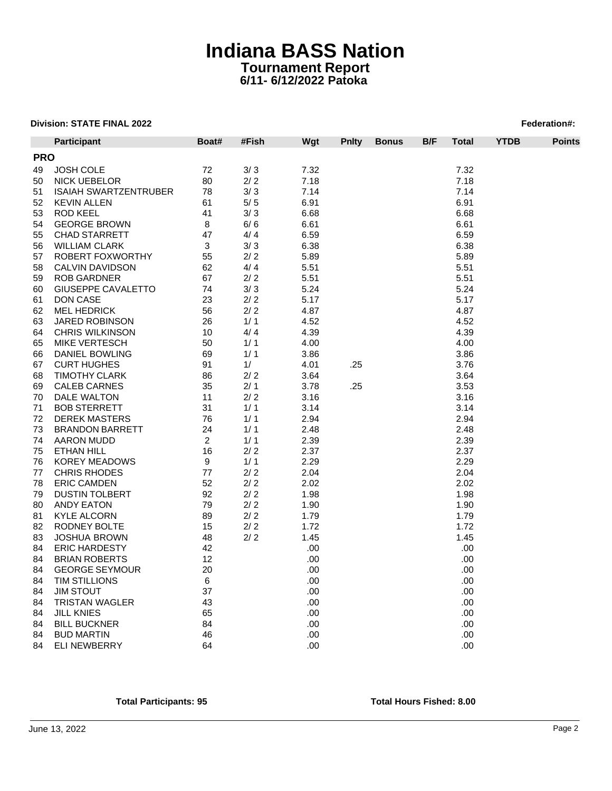| <b>PRO</b><br>3/3<br>7.32<br>7.32<br><b>JOSH COLE</b><br>72<br>49<br><b>NICK UEBELOR</b><br>80<br>2/2<br>7.18<br>7.18<br>50<br>78<br>3/3<br>7.14<br>7.14<br>51<br><b>ISAIAH SWARTZENTRUBER</b><br>52<br>5/5<br>6.91<br><b>KEVIN ALLEN</b><br>61<br>6.91<br>53<br><b>ROD KEEL</b><br>41<br>3/3<br>6.68<br>6.68<br><b>GEORGE BROWN</b><br>8<br>6/6<br>6.61<br>6.61<br>54<br>6.59<br>6.59<br><b>CHAD STARRETT</b><br>47<br>4/4<br>55<br>3/3<br><b>WILLIAM CLARK</b><br>3<br>6.38<br>6.38<br>56<br>$2/2$<br>5.89<br>ROBERT FOXWORTHY<br>55<br>5.89<br>57<br>62<br>4/4<br>5.51<br>5.51<br>58<br>CALVIN DAVIDSON<br>67<br>5.51<br><b>ROB GARDNER</b><br>2/2<br>5.51<br>59<br><b>GIUSEPPE CAVALETTO</b><br>74<br>3/3<br>5.24<br>5.24<br>60<br>23<br>2/2<br>5.17<br>5.17<br>61<br>DON CASE<br><b>MEL HEDRICK</b><br>56<br>2/2<br>4.87<br>62<br>4.87<br>1/1<br>4.52<br>4.52<br>63<br><b>JARED ROBINSON</b><br>26<br>4.39<br>4.39<br><b>CHRIS WILKINSON</b><br>10<br>4/4<br>64<br>1/1<br><b>MIKE VERTESCH</b><br>50<br>4.00<br>4.00<br>1/1<br>3.86<br>3.86<br>DANIEL BOWLING<br>69<br><b>CURT HUGHES</b><br>91<br>1/<br>4.01<br>.25<br>3.76<br>2/2<br>3.64<br><b>TIMOTHY CLARK</b><br>86<br>3.64<br>35<br>2/1<br>3.53<br><b>CALEB CARNES</b><br>3.78<br>.25<br>2/2<br>DALE WALTON<br>11<br>3.16<br>3.16<br>1/1<br><b>BOB STERRETT</b><br>31<br>3.14<br>3.14<br><b>DEREK MASTERS</b><br>76<br>1/1<br>2.94<br>2.94<br>1/1<br><b>BRANDON BARRETT</b><br>24<br>2.48<br>2.48<br>$\overline{\mathbf{c}}$<br>1/1<br>2.39<br><b>AARON MUDD</b><br>2.39<br>$2/2$<br>2.37<br>2.37<br>16<br>ETHAN HILL<br><b>KOREY MEADOWS</b><br>9<br>1/1<br>2.29<br>2.29<br>2.04<br><b>CHRIS RHODES</b><br>77<br>2/2<br>2.04<br>52<br>2/2<br>2.02<br><b>ERIC CAMDEN</b><br>2.02<br>92<br>2/2<br>1.98<br>1.98<br><b>DUSTIN TOLBERT</b><br>79<br>2/2<br>1.90<br>ANDY EATON<br>1.90<br><b>KYLE ALCORN</b><br>2/2<br>1.79<br>1.79<br>89<br>1.72<br>RODNEY BOLTE<br>15<br>2/2<br>1.72<br>2/2<br>1.45<br>1.45<br><b>JOSHUA BROWN</b><br>48<br>.00<br><b>ERIC HARDESTY</b><br>42<br>.00<br><b>BRIAN ROBERTS</b><br>12<br>.00<br>.00<br>.00<br><b>GEORGE SEYMOUR</b><br>20<br>.00<br>6<br>.00<br><b>TIM STILLIONS</b><br>.00<br><b>JIM STOUT</b><br>37<br>.00<br>.00<br><b>TRISTAN WAGLER</b><br>43<br>.00<br>.00<br><b>JILL KNIES</b><br>65<br>.00<br>.00<br><b>BILL BUCKNER</b><br>84<br>.00<br>.00<br><b>BUD MARTIN</b><br>.00<br>.00<br>46<br>.00<br>64<br>.00 |    | Participant         | Boat# | #Fish | Wgt | <b>Pnity</b> | <b>Bonus</b> | B/F | <b>Total</b> | <b>YTDB</b> | <b>Points</b> |
|-------------------------------------------------------------------------------------------------------------------------------------------------------------------------------------------------------------------------------------------------------------------------------------------------------------------------------------------------------------------------------------------------------------------------------------------------------------------------------------------------------------------------------------------------------------------------------------------------------------------------------------------------------------------------------------------------------------------------------------------------------------------------------------------------------------------------------------------------------------------------------------------------------------------------------------------------------------------------------------------------------------------------------------------------------------------------------------------------------------------------------------------------------------------------------------------------------------------------------------------------------------------------------------------------------------------------------------------------------------------------------------------------------------------------------------------------------------------------------------------------------------------------------------------------------------------------------------------------------------------------------------------------------------------------------------------------------------------------------------------------------------------------------------------------------------------------------------------------------------------------------------------------------------------------------------------------------------------------------------------------------------------------------------------------------------------------------------------------------------------------------------------------------------------------------------------------------------------------------------------------------------------------------------------------------------------------------------------------------------------------------------------------------------------------|----|---------------------|-------|-------|-----|--------------|--------------|-----|--------------|-------------|---------------|
|                                                                                                                                                                                                                                                                                                                                                                                                                                                                                                                                                                                                                                                                                                                                                                                                                                                                                                                                                                                                                                                                                                                                                                                                                                                                                                                                                                                                                                                                                                                                                                                                                                                                                                                                                                                                                                                                                                                                                                                                                                                                                                                                                                                                                                                                                                                                                                                                                         |    |                     |       |       |     |              |              |     |              |             |               |
|                                                                                                                                                                                                                                                                                                                                                                                                                                                                                                                                                                                                                                                                                                                                                                                                                                                                                                                                                                                                                                                                                                                                                                                                                                                                                                                                                                                                                                                                                                                                                                                                                                                                                                                                                                                                                                                                                                                                                                                                                                                                                                                                                                                                                                                                                                                                                                                                                         |    |                     |       |       |     |              |              |     |              |             |               |
|                                                                                                                                                                                                                                                                                                                                                                                                                                                                                                                                                                                                                                                                                                                                                                                                                                                                                                                                                                                                                                                                                                                                                                                                                                                                                                                                                                                                                                                                                                                                                                                                                                                                                                                                                                                                                                                                                                                                                                                                                                                                                                                                                                                                                                                                                                                                                                                                                         |    |                     |       |       |     |              |              |     |              |             |               |
|                                                                                                                                                                                                                                                                                                                                                                                                                                                                                                                                                                                                                                                                                                                                                                                                                                                                                                                                                                                                                                                                                                                                                                                                                                                                                                                                                                                                                                                                                                                                                                                                                                                                                                                                                                                                                                                                                                                                                                                                                                                                                                                                                                                                                                                                                                                                                                                                                         |    |                     |       |       |     |              |              |     |              |             |               |
|                                                                                                                                                                                                                                                                                                                                                                                                                                                                                                                                                                                                                                                                                                                                                                                                                                                                                                                                                                                                                                                                                                                                                                                                                                                                                                                                                                                                                                                                                                                                                                                                                                                                                                                                                                                                                                                                                                                                                                                                                                                                                                                                                                                                                                                                                                                                                                                                                         |    |                     |       |       |     |              |              |     |              |             |               |
|                                                                                                                                                                                                                                                                                                                                                                                                                                                                                                                                                                                                                                                                                                                                                                                                                                                                                                                                                                                                                                                                                                                                                                                                                                                                                                                                                                                                                                                                                                                                                                                                                                                                                                                                                                                                                                                                                                                                                                                                                                                                                                                                                                                                                                                                                                                                                                                                                         |    |                     |       |       |     |              |              |     |              |             |               |
|                                                                                                                                                                                                                                                                                                                                                                                                                                                                                                                                                                                                                                                                                                                                                                                                                                                                                                                                                                                                                                                                                                                                                                                                                                                                                                                                                                                                                                                                                                                                                                                                                                                                                                                                                                                                                                                                                                                                                                                                                                                                                                                                                                                                                                                                                                                                                                                                                         |    |                     |       |       |     |              |              |     |              |             |               |
|                                                                                                                                                                                                                                                                                                                                                                                                                                                                                                                                                                                                                                                                                                                                                                                                                                                                                                                                                                                                                                                                                                                                                                                                                                                                                                                                                                                                                                                                                                                                                                                                                                                                                                                                                                                                                                                                                                                                                                                                                                                                                                                                                                                                                                                                                                                                                                                                                         |    |                     |       |       |     |              |              |     |              |             |               |
|                                                                                                                                                                                                                                                                                                                                                                                                                                                                                                                                                                                                                                                                                                                                                                                                                                                                                                                                                                                                                                                                                                                                                                                                                                                                                                                                                                                                                                                                                                                                                                                                                                                                                                                                                                                                                                                                                                                                                                                                                                                                                                                                                                                                                                                                                                                                                                                                                         |    |                     |       |       |     |              |              |     |              |             |               |
|                                                                                                                                                                                                                                                                                                                                                                                                                                                                                                                                                                                                                                                                                                                                                                                                                                                                                                                                                                                                                                                                                                                                                                                                                                                                                                                                                                                                                                                                                                                                                                                                                                                                                                                                                                                                                                                                                                                                                                                                                                                                                                                                                                                                                                                                                                                                                                                                                         |    |                     |       |       |     |              |              |     |              |             |               |
|                                                                                                                                                                                                                                                                                                                                                                                                                                                                                                                                                                                                                                                                                                                                                                                                                                                                                                                                                                                                                                                                                                                                                                                                                                                                                                                                                                                                                                                                                                                                                                                                                                                                                                                                                                                                                                                                                                                                                                                                                                                                                                                                                                                                                                                                                                                                                                                                                         |    |                     |       |       |     |              |              |     |              |             |               |
|                                                                                                                                                                                                                                                                                                                                                                                                                                                                                                                                                                                                                                                                                                                                                                                                                                                                                                                                                                                                                                                                                                                                                                                                                                                                                                                                                                                                                                                                                                                                                                                                                                                                                                                                                                                                                                                                                                                                                                                                                                                                                                                                                                                                                                                                                                                                                                                                                         |    |                     |       |       |     |              |              |     |              |             |               |
|                                                                                                                                                                                                                                                                                                                                                                                                                                                                                                                                                                                                                                                                                                                                                                                                                                                                                                                                                                                                                                                                                                                                                                                                                                                                                                                                                                                                                                                                                                                                                                                                                                                                                                                                                                                                                                                                                                                                                                                                                                                                                                                                                                                                                                                                                                                                                                                                                         |    |                     |       |       |     |              |              |     |              |             |               |
|                                                                                                                                                                                                                                                                                                                                                                                                                                                                                                                                                                                                                                                                                                                                                                                                                                                                                                                                                                                                                                                                                                                                                                                                                                                                                                                                                                                                                                                                                                                                                                                                                                                                                                                                                                                                                                                                                                                                                                                                                                                                                                                                                                                                                                                                                                                                                                                                                         |    |                     |       |       |     |              |              |     |              |             |               |
|                                                                                                                                                                                                                                                                                                                                                                                                                                                                                                                                                                                                                                                                                                                                                                                                                                                                                                                                                                                                                                                                                                                                                                                                                                                                                                                                                                                                                                                                                                                                                                                                                                                                                                                                                                                                                                                                                                                                                                                                                                                                                                                                                                                                                                                                                                                                                                                                                         |    |                     |       |       |     |              |              |     |              |             |               |
|                                                                                                                                                                                                                                                                                                                                                                                                                                                                                                                                                                                                                                                                                                                                                                                                                                                                                                                                                                                                                                                                                                                                                                                                                                                                                                                                                                                                                                                                                                                                                                                                                                                                                                                                                                                                                                                                                                                                                                                                                                                                                                                                                                                                                                                                                                                                                                                                                         |    |                     |       |       |     |              |              |     |              |             |               |
|                                                                                                                                                                                                                                                                                                                                                                                                                                                                                                                                                                                                                                                                                                                                                                                                                                                                                                                                                                                                                                                                                                                                                                                                                                                                                                                                                                                                                                                                                                                                                                                                                                                                                                                                                                                                                                                                                                                                                                                                                                                                                                                                                                                                                                                                                                                                                                                                                         |    |                     |       |       |     |              |              |     |              |             |               |
|                                                                                                                                                                                                                                                                                                                                                                                                                                                                                                                                                                                                                                                                                                                                                                                                                                                                                                                                                                                                                                                                                                                                                                                                                                                                                                                                                                                                                                                                                                                                                                                                                                                                                                                                                                                                                                                                                                                                                                                                                                                                                                                                                                                                                                                                                                                                                                                                                         |    |                     |       |       |     |              |              |     |              |             |               |
|                                                                                                                                                                                                                                                                                                                                                                                                                                                                                                                                                                                                                                                                                                                                                                                                                                                                                                                                                                                                                                                                                                                                                                                                                                                                                                                                                                                                                                                                                                                                                                                                                                                                                                                                                                                                                                                                                                                                                                                                                                                                                                                                                                                                                                                                                                                                                                                                                         | 65 |                     |       |       |     |              |              |     |              |             |               |
|                                                                                                                                                                                                                                                                                                                                                                                                                                                                                                                                                                                                                                                                                                                                                                                                                                                                                                                                                                                                                                                                                                                                                                                                                                                                                                                                                                                                                                                                                                                                                                                                                                                                                                                                                                                                                                                                                                                                                                                                                                                                                                                                                                                                                                                                                                                                                                                                                         | 66 |                     |       |       |     |              |              |     |              |             |               |
|                                                                                                                                                                                                                                                                                                                                                                                                                                                                                                                                                                                                                                                                                                                                                                                                                                                                                                                                                                                                                                                                                                                                                                                                                                                                                                                                                                                                                                                                                                                                                                                                                                                                                                                                                                                                                                                                                                                                                                                                                                                                                                                                                                                                                                                                                                                                                                                                                         | 67 |                     |       |       |     |              |              |     |              |             |               |
|                                                                                                                                                                                                                                                                                                                                                                                                                                                                                                                                                                                                                                                                                                                                                                                                                                                                                                                                                                                                                                                                                                                                                                                                                                                                                                                                                                                                                                                                                                                                                                                                                                                                                                                                                                                                                                                                                                                                                                                                                                                                                                                                                                                                                                                                                                                                                                                                                         | 68 |                     |       |       |     |              |              |     |              |             |               |
|                                                                                                                                                                                                                                                                                                                                                                                                                                                                                                                                                                                                                                                                                                                                                                                                                                                                                                                                                                                                                                                                                                                                                                                                                                                                                                                                                                                                                                                                                                                                                                                                                                                                                                                                                                                                                                                                                                                                                                                                                                                                                                                                                                                                                                                                                                                                                                                                                         | 69 |                     |       |       |     |              |              |     |              |             |               |
|                                                                                                                                                                                                                                                                                                                                                                                                                                                                                                                                                                                                                                                                                                                                                                                                                                                                                                                                                                                                                                                                                                                                                                                                                                                                                                                                                                                                                                                                                                                                                                                                                                                                                                                                                                                                                                                                                                                                                                                                                                                                                                                                                                                                                                                                                                                                                                                                                         | 70 |                     |       |       |     |              |              |     |              |             |               |
|                                                                                                                                                                                                                                                                                                                                                                                                                                                                                                                                                                                                                                                                                                                                                                                                                                                                                                                                                                                                                                                                                                                                                                                                                                                                                                                                                                                                                                                                                                                                                                                                                                                                                                                                                                                                                                                                                                                                                                                                                                                                                                                                                                                                                                                                                                                                                                                                                         | 71 |                     |       |       |     |              |              |     |              |             |               |
|                                                                                                                                                                                                                                                                                                                                                                                                                                                                                                                                                                                                                                                                                                                                                                                                                                                                                                                                                                                                                                                                                                                                                                                                                                                                                                                                                                                                                                                                                                                                                                                                                                                                                                                                                                                                                                                                                                                                                                                                                                                                                                                                                                                                                                                                                                                                                                                                                         | 72 |                     |       |       |     |              |              |     |              |             |               |
|                                                                                                                                                                                                                                                                                                                                                                                                                                                                                                                                                                                                                                                                                                                                                                                                                                                                                                                                                                                                                                                                                                                                                                                                                                                                                                                                                                                                                                                                                                                                                                                                                                                                                                                                                                                                                                                                                                                                                                                                                                                                                                                                                                                                                                                                                                                                                                                                                         | 73 |                     |       |       |     |              |              |     |              |             |               |
|                                                                                                                                                                                                                                                                                                                                                                                                                                                                                                                                                                                                                                                                                                                                                                                                                                                                                                                                                                                                                                                                                                                                                                                                                                                                                                                                                                                                                                                                                                                                                                                                                                                                                                                                                                                                                                                                                                                                                                                                                                                                                                                                                                                                                                                                                                                                                                                                                         | 74 |                     |       |       |     |              |              |     |              |             |               |
|                                                                                                                                                                                                                                                                                                                                                                                                                                                                                                                                                                                                                                                                                                                                                                                                                                                                                                                                                                                                                                                                                                                                                                                                                                                                                                                                                                                                                                                                                                                                                                                                                                                                                                                                                                                                                                                                                                                                                                                                                                                                                                                                                                                                                                                                                                                                                                                                                         | 75 |                     |       |       |     |              |              |     |              |             |               |
|                                                                                                                                                                                                                                                                                                                                                                                                                                                                                                                                                                                                                                                                                                                                                                                                                                                                                                                                                                                                                                                                                                                                                                                                                                                                                                                                                                                                                                                                                                                                                                                                                                                                                                                                                                                                                                                                                                                                                                                                                                                                                                                                                                                                                                                                                                                                                                                                                         | 76 |                     |       |       |     |              |              |     |              |             |               |
|                                                                                                                                                                                                                                                                                                                                                                                                                                                                                                                                                                                                                                                                                                                                                                                                                                                                                                                                                                                                                                                                                                                                                                                                                                                                                                                                                                                                                                                                                                                                                                                                                                                                                                                                                                                                                                                                                                                                                                                                                                                                                                                                                                                                                                                                                                                                                                                                                         | 77 |                     |       |       |     |              |              |     |              |             |               |
|                                                                                                                                                                                                                                                                                                                                                                                                                                                                                                                                                                                                                                                                                                                                                                                                                                                                                                                                                                                                                                                                                                                                                                                                                                                                                                                                                                                                                                                                                                                                                                                                                                                                                                                                                                                                                                                                                                                                                                                                                                                                                                                                                                                                                                                                                                                                                                                                                         | 78 |                     |       |       |     |              |              |     |              |             |               |
|                                                                                                                                                                                                                                                                                                                                                                                                                                                                                                                                                                                                                                                                                                                                                                                                                                                                                                                                                                                                                                                                                                                                                                                                                                                                                                                                                                                                                                                                                                                                                                                                                                                                                                                                                                                                                                                                                                                                                                                                                                                                                                                                                                                                                                                                                                                                                                                                                         | 79 |                     |       |       |     |              |              |     |              |             |               |
|                                                                                                                                                                                                                                                                                                                                                                                                                                                                                                                                                                                                                                                                                                                                                                                                                                                                                                                                                                                                                                                                                                                                                                                                                                                                                                                                                                                                                                                                                                                                                                                                                                                                                                                                                                                                                                                                                                                                                                                                                                                                                                                                                                                                                                                                                                                                                                                                                         | 80 |                     |       |       |     |              |              |     |              |             |               |
|                                                                                                                                                                                                                                                                                                                                                                                                                                                                                                                                                                                                                                                                                                                                                                                                                                                                                                                                                                                                                                                                                                                                                                                                                                                                                                                                                                                                                                                                                                                                                                                                                                                                                                                                                                                                                                                                                                                                                                                                                                                                                                                                                                                                                                                                                                                                                                                                                         | 81 |                     |       |       |     |              |              |     |              |             |               |
|                                                                                                                                                                                                                                                                                                                                                                                                                                                                                                                                                                                                                                                                                                                                                                                                                                                                                                                                                                                                                                                                                                                                                                                                                                                                                                                                                                                                                                                                                                                                                                                                                                                                                                                                                                                                                                                                                                                                                                                                                                                                                                                                                                                                                                                                                                                                                                                                                         | 82 |                     |       |       |     |              |              |     |              |             |               |
|                                                                                                                                                                                                                                                                                                                                                                                                                                                                                                                                                                                                                                                                                                                                                                                                                                                                                                                                                                                                                                                                                                                                                                                                                                                                                                                                                                                                                                                                                                                                                                                                                                                                                                                                                                                                                                                                                                                                                                                                                                                                                                                                                                                                                                                                                                                                                                                                                         | 83 |                     |       |       |     |              |              |     |              |             |               |
|                                                                                                                                                                                                                                                                                                                                                                                                                                                                                                                                                                                                                                                                                                                                                                                                                                                                                                                                                                                                                                                                                                                                                                                                                                                                                                                                                                                                                                                                                                                                                                                                                                                                                                                                                                                                                                                                                                                                                                                                                                                                                                                                                                                                                                                                                                                                                                                                                         | 84 |                     |       |       |     |              |              |     |              |             |               |
|                                                                                                                                                                                                                                                                                                                                                                                                                                                                                                                                                                                                                                                                                                                                                                                                                                                                                                                                                                                                                                                                                                                                                                                                                                                                                                                                                                                                                                                                                                                                                                                                                                                                                                                                                                                                                                                                                                                                                                                                                                                                                                                                                                                                                                                                                                                                                                                                                         | 84 |                     |       |       |     |              |              |     |              |             |               |
|                                                                                                                                                                                                                                                                                                                                                                                                                                                                                                                                                                                                                                                                                                                                                                                                                                                                                                                                                                                                                                                                                                                                                                                                                                                                                                                                                                                                                                                                                                                                                                                                                                                                                                                                                                                                                                                                                                                                                                                                                                                                                                                                                                                                                                                                                                                                                                                                                         | 84 |                     |       |       |     |              |              |     |              |             |               |
|                                                                                                                                                                                                                                                                                                                                                                                                                                                                                                                                                                                                                                                                                                                                                                                                                                                                                                                                                                                                                                                                                                                                                                                                                                                                                                                                                                                                                                                                                                                                                                                                                                                                                                                                                                                                                                                                                                                                                                                                                                                                                                                                                                                                                                                                                                                                                                                                                         | 84 |                     |       |       |     |              |              |     |              |             |               |
|                                                                                                                                                                                                                                                                                                                                                                                                                                                                                                                                                                                                                                                                                                                                                                                                                                                                                                                                                                                                                                                                                                                                                                                                                                                                                                                                                                                                                                                                                                                                                                                                                                                                                                                                                                                                                                                                                                                                                                                                                                                                                                                                                                                                                                                                                                                                                                                                                         | 84 |                     |       |       |     |              |              |     |              |             |               |
|                                                                                                                                                                                                                                                                                                                                                                                                                                                                                                                                                                                                                                                                                                                                                                                                                                                                                                                                                                                                                                                                                                                                                                                                                                                                                                                                                                                                                                                                                                                                                                                                                                                                                                                                                                                                                                                                                                                                                                                                                                                                                                                                                                                                                                                                                                                                                                                                                         | 84 |                     |       |       |     |              |              |     |              |             |               |
|                                                                                                                                                                                                                                                                                                                                                                                                                                                                                                                                                                                                                                                                                                                                                                                                                                                                                                                                                                                                                                                                                                                                                                                                                                                                                                                                                                                                                                                                                                                                                                                                                                                                                                                                                                                                                                                                                                                                                                                                                                                                                                                                                                                                                                                                                                                                                                                                                         | 84 |                     |       |       |     |              |              |     |              |             |               |
|                                                                                                                                                                                                                                                                                                                                                                                                                                                                                                                                                                                                                                                                                                                                                                                                                                                                                                                                                                                                                                                                                                                                                                                                                                                                                                                                                                                                                                                                                                                                                                                                                                                                                                                                                                                                                                                                                                                                                                                                                                                                                                                                                                                                                                                                                                                                                                                                                         | 84 |                     |       |       |     |              |              |     |              |             |               |
|                                                                                                                                                                                                                                                                                                                                                                                                                                                                                                                                                                                                                                                                                                                                                                                                                                                                                                                                                                                                                                                                                                                                                                                                                                                                                                                                                                                                                                                                                                                                                                                                                                                                                                                                                                                                                                                                                                                                                                                                                                                                                                                                                                                                                                                                                                                                                                                                                         | 84 |                     |       |       |     |              |              |     |              |             |               |
|                                                                                                                                                                                                                                                                                                                                                                                                                                                                                                                                                                                                                                                                                                                                                                                                                                                                                                                                                                                                                                                                                                                                                                                                                                                                                                                                                                                                                                                                                                                                                                                                                                                                                                                                                                                                                                                                                                                                                                                                                                                                                                                                                                                                                                                                                                                                                                                                                         | 84 | <b>ELI NEWBERRY</b> |       |       |     |              |              |     |              |             |               |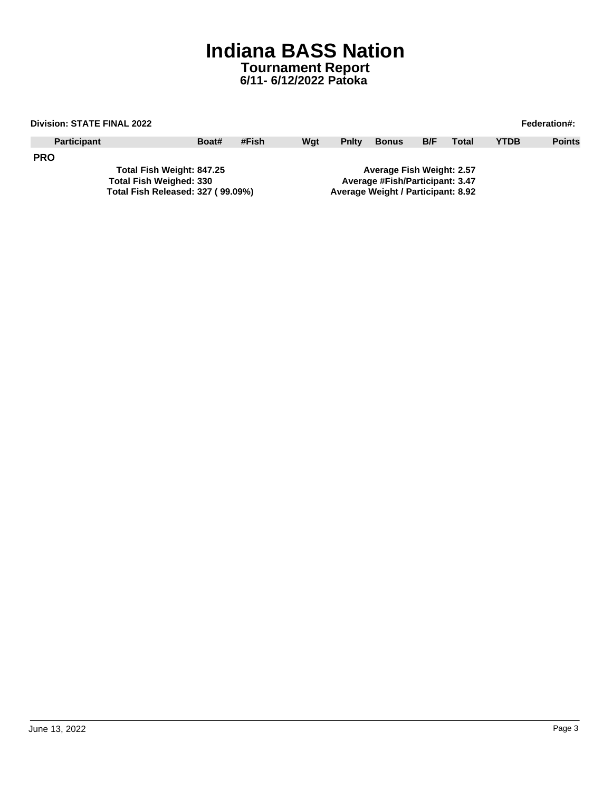|            | <b>Division: STATE FINAL 2022</b> |  |       |       |     |                                  |                                    |     |              |             | <b>Federation#:</b> |
|------------|-----------------------------------|--|-------|-------|-----|----------------------------------|------------------------------------|-----|--------------|-------------|---------------------|
|            | <b>Participant</b>                |  | Boat# | #Fish | Wat | <b>Pnity</b>                     | <b>Bonus</b>                       | B/F | <b>Total</b> | <b>YTDB</b> | <b>Points</b>       |
| <b>PRO</b> |                                   |  |       |       |     |                                  |                                    |     |              |             |                     |
|            | Total Fish Weight: 847.25         |  |       |       |     | <b>Average Fish Weight: 2.57</b> |                                    |     |              |             |                     |
|            | <b>Total Fish Weighed: 330</b>    |  |       |       |     |                                  | Average #Fish/Participant: 3.47    |     |              |             |                     |
|            | Total Fish Released: 327 (99.09%) |  |       |       |     |                                  | Average Weight / Participant: 8.92 |     |              |             |                     |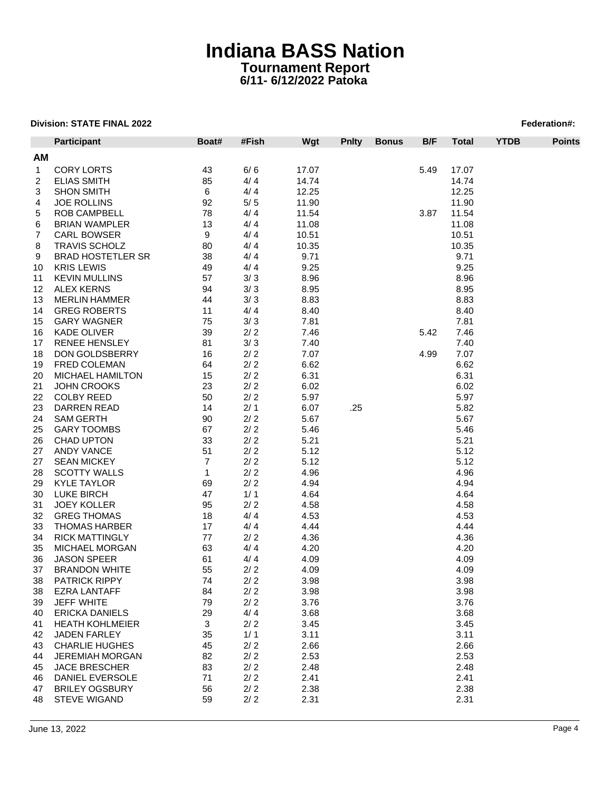|                | <b>Participant</b>                              | Boat#          | #Fish      | Wgt          | <b>Pnity</b> | <b>Bonus</b> | B/F  | <b>Total</b> | <b>YTDB</b> | <b>Points</b> |
|----------------|-------------------------------------------------|----------------|------------|--------------|--------------|--------------|------|--------------|-------------|---------------|
| AM             |                                                 |                |            |              |              |              |      |              |             |               |
| $\mathbf{1}$   | <b>CORY LORTS</b>                               | 43             | 6/6        | 17.07        |              |              | 5.49 | 17.07        |             |               |
| $\overline{2}$ | <b>ELIAS SMITH</b>                              | 85             | 4/4        | 14.74        |              |              |      | 14.74        |             |               |
| 3              | <b>SHON SMITH</b>                               | 6              | 4/4        | 12.25        |              |              |      | 12.25        |             |               |
| 4              | <b>JOE ROLLINS</b>                              | 92             | $5/5$      | 11.90        |              |              |      | 11.90        |             |               |
| 5              | <b>ROB CAMPBELL</b>                             | 78             | 4/4        | 11.54        |              |              | 3.87 | 11.54        |             |               |
| 6              | <b>BRIAN WAMPLER</b>                            | 13             | 4/4        | 11.08        |              |              |      | 11.08        |             |               |
| 7              | <b>CARL BOWSER</b>                              | 9              | 4/4        | 10.51        |              |              |      | 10.51        |             |               |
| 8              | <b>TRAVIS SCHOLZ</b>                            | 80             | 4/4        | 10.35        |              |              |      | 10.35        |             |               |
| 9              | <b>BRAD HOSTETLER SR</b>                        | 38             | 4/4        | 9.71         |              |              |      | 9.71         |             |               |
| 10             | <b>KRIS LEWIS</b>                               | 49             | 4/4        | 9.25         |              |              |      | 9.25         |             |               |
| 11             | <b>KEVIN MULLINS</b>                            | 57             | 3/3        | 8.96         |              |              |      | 8.96         |             |               |
| 12             | <b>ALEX KERNS</b>                               | 94             | 3/3        | 8.95         |              |              |      | 8.95         |             |               |
| 13             | <b>MERLIN HAMMER</b>                            | 44             | 3/3        | 8.83         |              |              |      | 8.83         |             |               |
| 14             | <b>GREG ROBERTS</b>                             | 11             | 4/4        | 8.40         |              |              |      | 8.40         |             |               |
|                | <b>GARY WAGNER</b>                              | 75             | 3/3        | 7.81         |              |              |      | 7.81         |             |               |
| 15             | <b>KADE OLIVER</b>                              | 39             | 2/2        | 7.46         |              |              | 5.42 | 7.46         |             |               |
| 16             |                                                 |                |            |              |              |              |      |              |             |               |
| 17<br>18       | <b>RENEE HENSLEY</b><br>DON GOLDSBERRY          | 81<br>16       | 3/3<br>2/2 | 7.40<br>7.07 |              |              | 4.99 | 7.40<br>7.07 |             |               |
|                | FRED COLEMAN                                    | 64             | 2/2        | 6.62         |              |              |      | 6.62         |             |               |
| 19             | MICHAEL HAMILTON                                | 15             | 2/2        | 6.31         |              |              |      | 6.31         |             |               |
| 20             |                                                 |                |            |              |              |              |      |              |             |               |
| 21             | JOHN CROOKS                                     | 23             | 2/2        | 6.02         |              |              |      | 6.02         |             |               |
| 22             | <b>COLBY REED</b>                               | 50             | 2/2        | 5.97         |              |              |      | 5.97         |             |               |
| 23             | DARREN READ                                     | 14             | 2/1        | 6.07         | .25          |              |      | 5.82         |             |               |
| 24             | <b>SAM GERTH</b>                                | 90             | $2/2$      | 5.67         |              |              |      | 5.67         |             |               |
| 25             | <b>GARY TOOMBS</b>                              | 67             | 2/2        | 5.46         |              |              |      | 5.46         |             |               |
| 26             | <b>CHAD UPTON</b>                               | 33             | 2/2        | 5.21         |              |              |      | 5.21         |             |               |
| 27             | ANDY VANCE                                      | 51             | 2/2        | 5.12         |              |              |      | 5.12         |             |               |
| 27             | <b>SEAN MICKEY</b>                              | $\overline{7}$ | 2/2        | 5.12         |              |              |      | 5.12         |             |               |
| 28             | <b>SCOTTY WALLS</b>                             | $\mathbf{1}$   | $2/2$      | 4.96         |              |              |      | 4.96         |             |               |
| 29             | <b>KYLE TAYLOR</b>                              | 69             | 2/2<br>1/1 | 4.94         |              |              |      | 4.94         |             |               |
| 30             | <b>LUKE BIRCH</b>                               | 47             | 2/2        | 4.64         |              |              |      | 4.64         |             |               |
| 31             | <b>JOEY KOLLER</b>                              | 95             |            | 4.58         |              |              |      | 4.58         |             |               |
| 32             | <b>GREG THOMAS</b>                              | 18             | 4/4        | 4.53         |              |              |      | 4.53         |             |               |
| 33             | <b>THOMAS HARBER</b><br><b>RICK MATTINGLY</b>   | 17             | 4/4<br>2/2 | 4.44         |              |              |      | 4.44         |             |               |
| 34             |                                                 | 77             |            | 4.36         |              |              |      | 4.36         |             |               |
| 35             | <b>MICHAEL MORGAN</b>                           | 63             | 4/4        | 4.20         |              |              |      | 4.20         |             |               |
| 36             | <b>JASON SPEER</b>                              | 61             | 4/4        | 4.09         |              |              |      | 4.09         |             |               |
| 37             | <b>BRANDON WHITE</b>                            | 55<br>74       | 2/2        | 4.09         |              |              |      | 4.09         |             |               |
| 38             | <b>PATRICK RIPPY</b>                            |                | $2/2$      | 3.98         |              |              |      | 3.98         |             |               |
| 38             | <b>EZRA LANTAFF</b>                             | 84             | 2/2        | 3.98         |              |              |      | 3.98         |             |               |
| 39             | <b>JEFF WHITE</b>                               | 79             | 2/2        | 3.76         |              |              |      | 3.76         |             |               |
| 40             | <b>ERICKA DANIELS</b><br><b>HEATH KOHLMEIER</b> | 29             | 4/4        | 3.68         |              |              |      | 3.68         |             |               |
| 41             |                                                 | 3              | 2/2        | 3.45         |              |              |      | 3.45         |             |               |
| 42             | JADEN FARLEY                                    | 35             | 1/1        | 3.11         |              |              |      | 3.11         |             |               |
| 43             | <b>CHARLIE HUGHES</b>                           | 45             | 2/2        | 2.66         |              |              |      | 2.66         |             |               |
| 44             | <b>JEREMIAH MORGAN</b>                          | 82             | 2/2        | 2.53         |              |              |      | 2.53         |             |               |
| 45             | <b>JACE BRESCHER</b>                            | 83             | 2/2        | 2.48         |              |              |      | 2.48         |             |               |
| 46             | DANIEL EVERSOLE                                 | 71             | 2/2        | 2.41         |              |              |      | 2.41         |             |               |
| 47             | <b>BRILEY OGSBURY</b>                           | 56             | 2/2        | 2.38         |              |              |      | 2.38         |             |               |
| 48             | <b>STEVE WIGAND</b>                             | 59             | 2/2        | 2.31         |              |              |      | 2.31         |             |               |
|                |                                                 |                |            |              |              |              |      |              |             |               |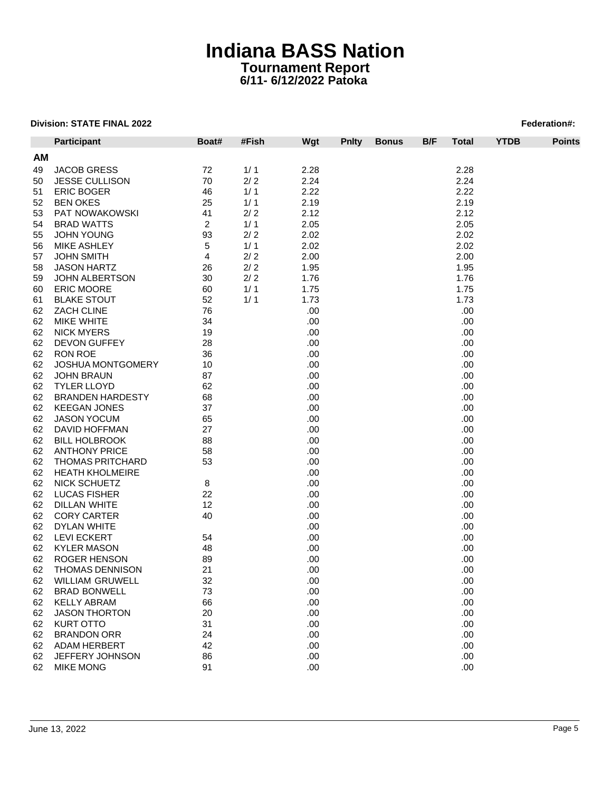|    | <b>Participant</b>       | Boat#          | #Fish | Wgt  | <b>Pnity</b> | <b>Bonus</b> | B/F | <b>Total</b> | <b>YTDB</b> | <b>Points</b> |
|----|--------------------------|----------------|-------|------|--------------|--------------|-----|--------------|-------------|---------------|
| AM |                          |                |       |      |              |              |     |              |             |               |
| 49 | <b>JACOB GRESS</b>       | 72             | 1/1   | 2.28 |              |              |     | 2.28         |             |               |
| 50 | <b>JESSE CULLISON</b>    | 70             | 2/2   | 2.24 |              |              |     | 2.24         |             |               |
| 51 | <b>ERIC BOGER</b>        | 46             | 1/1   | 2.22 |              |              |     | 2.22         |             |               |
| 52 | <b>BEN OKES</b>          | 25             | 1/1   | 2.19 |              |              |     | 2.19         |             |               |
| 53 | PAT NOWAKOWSKI           | 41             | 2/2   | 2.12 |              |              |     | 2.12         |             |               |
| 54 | <b>BRAD WATTS</b>        | $\overline{2}$ | 1/1   | 2.05 |              |              |     | 2.05         |             |               |
| 55 | <b>JOHN YOUNG</b>        | 93             | 2/2   | 2.02 |              |              |     | 2.02         |             |               |
| 56 | <b>MIKE ASHLEY</b>       | 5              | 1/1   | 2.02 |              |              |     | 2.02         |             |               |
| 57 | <b>JOHN SMITH</b>        | 4              | 2/2   | 2.00 |              |              |     | 2.00         |             |               |
| 58 | <b>JASON HARTZ</b>       | 26             | $2/2$ | 1.95 |              |              |     | 1.95         |             |               |
| 59 | <b>JOHN ALBERTSON</b>    | 30             | 2/2   | 1.76 |              |              |     | 1.76         |             |               |
| 60 | <b>ERIC MOORE</b>        | 60             | 1/1   | 1.75 |              |              |     | 1.75         |             |               |
| 61 | <b>BLAKE STOUT</b>       | 52             | 1/1   | 1.73 |              |              |     | 1.73         |             |               |
| 62 | ZACH CLINE               | 76             |       | .00  |              |              |     | .00          |             |               |
|    |                          |                |       |      |              |              |     |              |             |               |
| 62 | <b>MIKE WHITE</b>        | 34             |       | .00. |              |              |     | .00          |             |               |
| 62 | <b>NICK MYERS</b>        | 19             |       | .00  |              |              |     | .00          |             |               |
| 62 | <b>DEVON GUFFEY</b>      | 28             |       | .00  |              |              |     | .00          |             |               |
| 62 | <b>RON ROE</b>           | 36             |       | .00  |              |              |     | .00          |             |               |
| 62 | <b>JOSHUA MONTGOMERY</b> | 10             |       | .00. |              |              |     | .00          |             |               |
| 62 | <b>JOHN BRAUN</b>        | 87             |       | .00. |              |              |     | .00          |             |               |
| 62 | <b>TYLER LLOYD</b>       | 62             |       | .00  |              |              |     | .00          |             |               |
| 62 | <b>BRANDEN HARDESTY</b>  | 68             |       | .00  |              |              |     | .00          |             |               |
| 62 | <b>KEEGAN JONES</b>      | 37             |       | .00  |              |              |     | .00          |             |               |
| 62 | <b>JASON YOCUM</b>       | 65             |       | .00. |              |              |     | .00          |             |               |
| 62 | DAVID HOFFMAN            | 27             |       | .00. |              |              |     | .00          |             |               |
| 62 | <b>BILL HOLBROOK</b>     | 88             |       | .00  |              |              |     | .00          |             |               |
| 62 | <b>ANTHONY PRICE</b>     | 58             |       | .00  |              |              |     | .00          |             |               |
| 62 | <b>THOMAS PRITCHARD</b>  | 53             |       | .00  |              |              |     | .00          |             |               |
| 62 | <b>HEATH KHOLMEIRE</b>   |                |       | .00. |              |              |     | .00          |             |               |
| 62 | NICK SCHUETZ             | 8              |       | .00  |              |              |     | .00          |             |               |
| 62 | <b>LUCAS FISHER</b>      | 22             |       | .00  |              |              |     | .00          |             |               |
| 62 | <b>DILLAN WHITE</b>      | 12             |       | .00  |              |              |     | .00          |             |               |
| 62 | <b>CORY CARTER</b>       | 40             |       | .00  |              |              |     | .00          |             |               |
| 62 | DYLAN WHITE              |                |       | .00. |              |              |     | .00          |             |               |
| 62 | <b>LEVI ECKERT</b>       | 54             |       | .00. |              |              |     | .00          |             |               |
| 62 | <b>KYLER MASON</b>       | 48             |       | .00  |              |              |     | .00          |             |               |
| 62 | ROGER HENSON             | 89             |       | .00  |              |              |     | .00          |             |               |
| 62 | <b>THOMAS DENNISON</b>   | 21             |       | .00  |              |              |     | .00          |             |               |
| 62 | WILLIAM GRUWELL          | 32             |       | .00  |              |              |     | .00          |             |               |
| 62 | <b>BRAD BONWELL</b>      | 73             |       | .00  |              |              |     | .00          |             |               |
| 62 | <b>KELLY ABRAM</b>       | 66             |       | .00  |              |              |     | .00          |             |               |
| 62 | <b>JASON THORTON</b>     | 20             |       | .00  |              |              |     | .00          |             |               |
| 62 | <b>KURT OTTO</b>         | 31             |       | .00  |              |              |     | .00          |             |               |
| 62 | <b>BRANDON ORR</b>       | 24             |       | .00  |              |              |     | .00          |             |               |
| 62 | <b>ADAM HERBERT</b>      | 42             |       | .00  |              |              |     | .00          |             |               |
| 62 | JEFFERY JOHNSON          | 86             |       | .00  |              |              |     | .00          |             |               |
| 62 | <b>MIKE MONG</b>         | 91             |       | .00. |              |              |     | .00.         |             |               |
|    |                          |                |       |      |              |              |     |              |             |               |